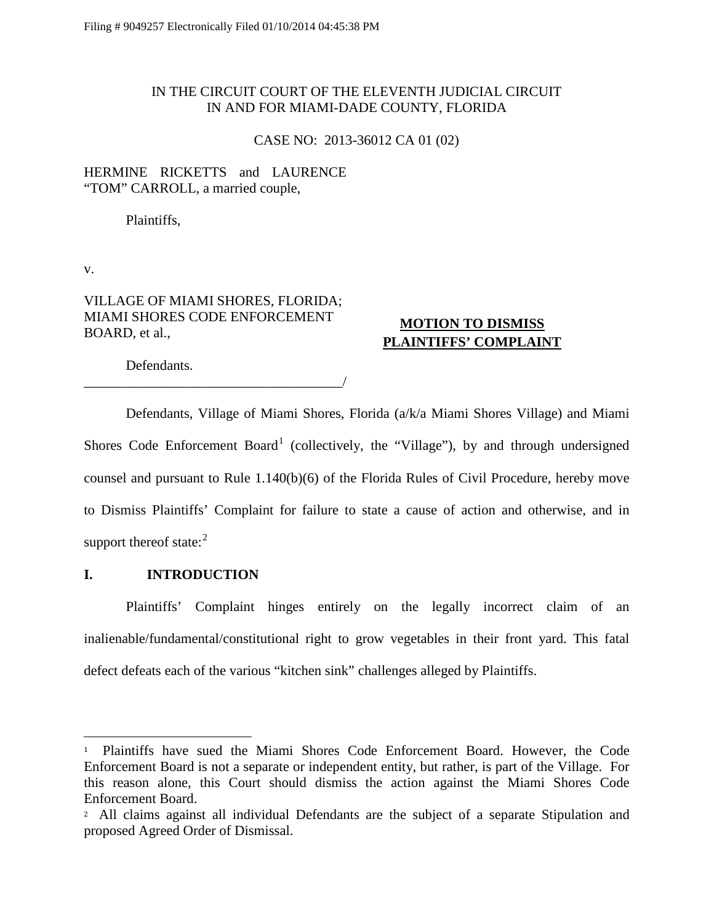# IN THE CIRCUIT COURT OF THE ELEVENTH JUDICIAL CIRCUIT IN AND FOR MIAMI-DADE COUNTY, FLORIDA

#### CASE NO: 2013-36012 CA 01 (02)

### HERMINE RICKETTS and LAURENCE "TOM" CARROLL, a married couple,

Plaintiffs,

v.

## VILLAGE OF MIAMI SHORES, FLORIDA; MIAMI SHORES CODE ENFORCEMENT BOARD, et al.,

\_\_\_\_\_\_\_\_\_\_\_\_\_\_\_\_\_\_\_\_\_\_\_\_\_\_\_\_\_\_\_\_\_\_\_\_\_/

# **MOTION TO DISMISS PLAINTIFFS' COMPLAINT**

Defendants.

Defendants, Village of Miami Shores, Florida (a/k/a Miami Shores Village) and Miami Shores Code Enforcement Board<sup>[1](#page-0-0)</sup> (collectively, the "Village"), by and through undersigned counsel and pursuant to Rule 1.140(b)(6) of the Florida Rules of Civil Procedure, hereby move to Dismiss Plaintiffs' Complaint for failure to state a cause of action and otherwise, and in support thereof state: $2^2$  $2^2$ 

#### **I. INTRODUCTION**

Plaintiffs' Complaint hinges entirely on the legally incorrect claim of an inalienable/fundamental/constitutional right to grow vegetables in their front yard. This fatal defect defeats each of the various "kitchen sink" challenges alleged by Plaintiffs.

<span id="page-0-0"></span> <sup>1</sup> Plaintiffs have sued the Miami Shores Code Enforcement Board. However, the Code Enforcement Board is not a separate or independent entity, but rather, is part of the Village. For this reason alone, this Court should dismiss the action against the Miami Shores Code Enforcement Board.

<span id="page-0-1"></span><sup>2</sup> All claims against all individual Defendants are the subject of a separate Stipulation and proposed Agreed Order of Dismissal.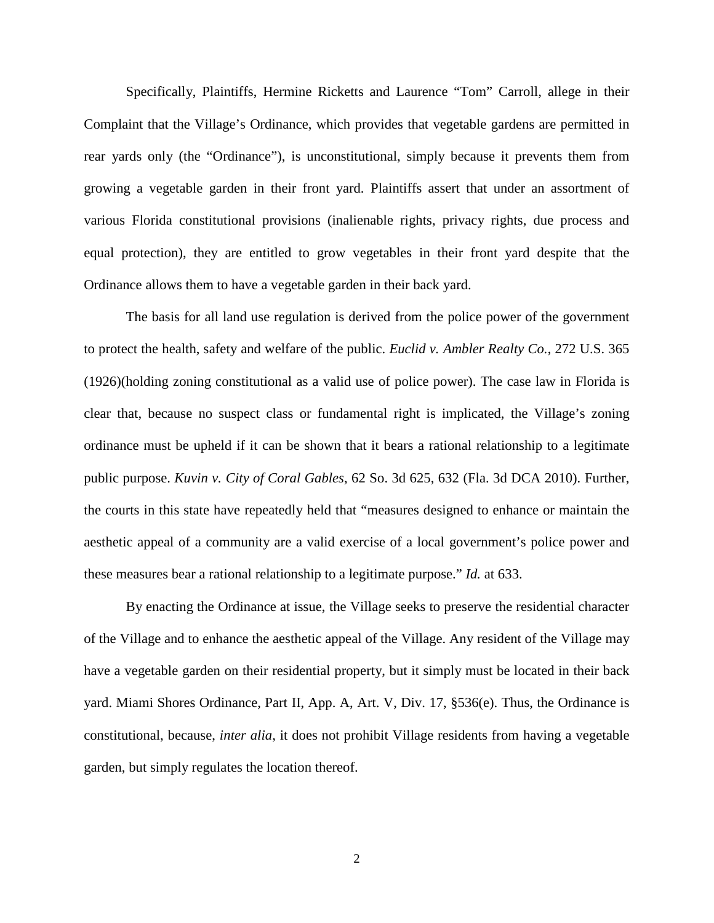Specifically, Plaintiffs, Hermine Ricketts and Laurence "Tom" Carroll, allege in their Complaint that the Village's Ordinance, which provides that vegetable gardens are permitted in rear yards only (the "Ordinance"), is unconstitutional, simply because it prevents them from growing a vegetable garden in their front yard. Plaintiffs assert that under an assortment of various Florida constitutional provisions (inalienable rights, privacy rights, due process and equal protection), they are entitled to grow vegetables in their front yard despite that the Ordinance allows them to have a vegetable garden in their back yard.

The basis for all land use regulation is derived from the police power of the government to protect the health, safety and welfare of the public. *Euclid v. Ambler Realty Co.*, 272 U.S. 365 (1926)(holding zoning constitutional as a valid use of police power). The case law in Florida is clear that, because no suspect class or fundamental right is implicated, the Village's zoning ordinance must be upheld if it can be shown that it bears a rational relationship to a legitimate public purpose. *Kuvin v. City of Coral Gables*, 62 So. 3d 625, 632 (Fla. 3d DCA 2010). Further, the courts in this state have repeatedly held that "measures designed to enhance or maintain the aesthetic appeal of a community are a valid exercise of a local government's police power and these measures bear a rational relationship to a legitimate purpose." *Id.* at 633.

By enacting the Ordinance at issue, the Village seeks to preserve the residential character of the Village and to enhance the aesthetic appeal of the Village. Any resident of the Village may have a vegetable garden on their residential property, but it simply must be located in their back yard. Miami Shores Ordinance, Part II, App. A, Art. V, Div. 17, §536(e). Thus, the Ordinance is constitutional, because, *inter alia*, it does not prohibit Village residents from having a vegetable garden, but simply regulates the location thereof.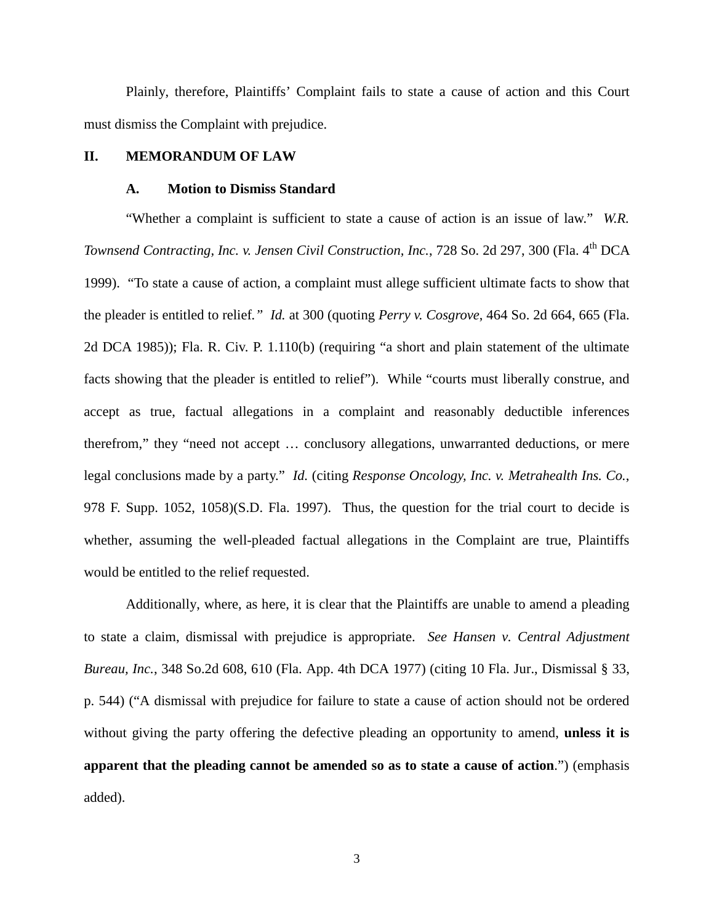Plainly, therefore, Plaintiffs' Complaint fails to state a cause of action and this Court must dismiss the Complaint with prejudice.

#### **II. MEMORANDUM OF LAW**

#### **A. Motion to Dismiss Standard**

"Whether a complaint is sufficient to state a cause of action is an issue of law." *W.R. Townsend Contracting, Inc. v. Jensen Civil Construction, Inc., 728 So. 2d 297, 300 (Fla. 4<sup>th</sup> DCA* 1999). "To state a cause of action, a complaint must allege sufficient ultimate facts to show that the pleader is entitled to relief*." Id.* at 300 (quoting *Perry v. Cosgrove*, 464 So. 2d 664, 665 (Fla. 2d DCA 1985)); Fla. R. Civ. P. 1.110(b) (requiring "a short and plain statement of the ultimate facts showing that the pleader is entitled to relief"). While "courts must liberally construe, and accept as true, factual allegations in a complaint and reasonably deductible inferences therefrom," they "need not accept … conclusory allegations, unwarranted deductions, or mere legal conclusions made by a party." *Id.* (citing *Response Oncology, Inc. v. Metrahealth Ins. Co.*, 978 F. Supp. 1052, 1058)(S.D. Fla. 1997). Thus, the question for the trial court to decide is whether, assuming the well-pleaded factual allegations in the Complaint are true, Plaintiffs would be entitled to the relief requested.

Additionally, where, as here, it is clear that the Plaintiffs are unable to amend a pleading to state a claim, dismissal with prejudice is appropriate. *See Hansen v. Central Adjustment Bureau, Inc.*, 348 So.2d 608, 610 (Fla. App. 4th DCA 1977) (citing 10 Fla. Jur., Dismissal § 33, p. 544) ("A dismissal with prejudice for failure to state a cause of action should not be ordered without giving the party offering the defective pleading an opportunity to amend, **unless it is apparent that the pleading cannot be amended so as to state a cause of action**.") (emphasis added).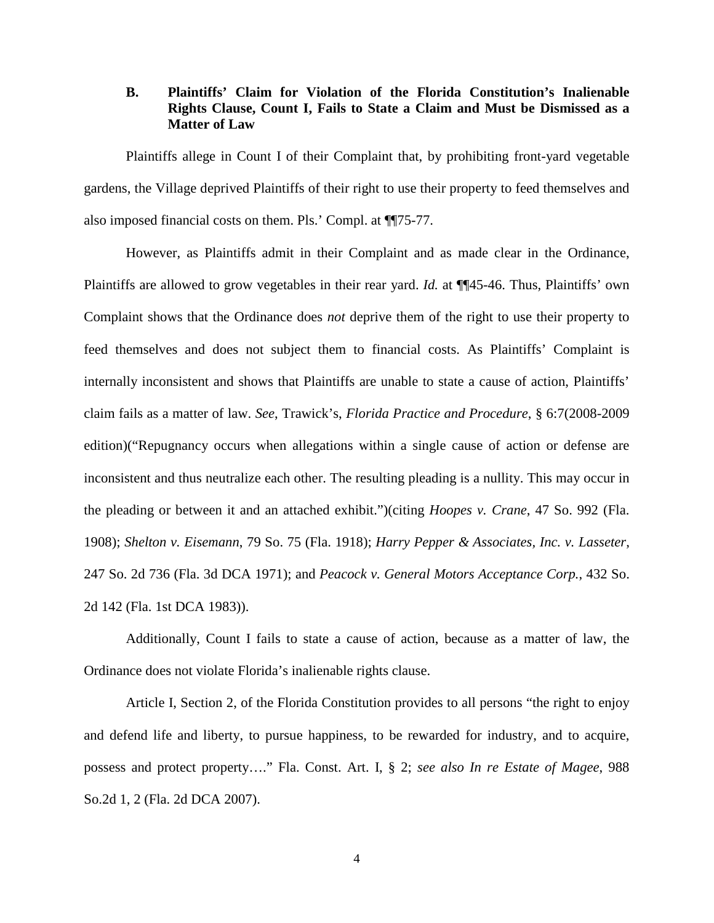### **B. Plaintiffs' Claim for Violation of the Florida Constitution's Inalienable Rights Clause, Count I, Fails to State a Claim and Must be Dismissed as a Matter of Law**

Plaintiffs allege in Count I of their Complaint that, by prohibiting front-yard vegetable gardens, the Village deprived Plaintiffs of their right to use their property to feed themselves and also imposed financial costs on them. Pls.' Compl. at ¶¶75-77.

However, as Plaintiffs admit in their Complaint and as made clear in the Ordinance, Plaintiffs are allowed to grow vegetables in their rear yard. *Id.* at ¶¶45-46. Thus, Plaintiffs' own Complaint shows that the Ordinance does *not* deprive them of the right to use their property to feed themselves and does not subject them to financial costs. As Plaintiffs' Complaint is internally inconsistent and shows that Plaintiffs are unable to state a cause of action, Plaintiffs' claim fails as a matter of law. *See*, Trawick's, *Florida Practice and Procedure*, § 6:7(2008-2009 edition)("Repugnancy occurs when allegations within a single cause of action or defense are inconsistent and thus neutralize each other. The resulting pleading is a nullity. This may occur in the pleading or between it and an attached exhibit.")(citing *Hoopes v. Crane*, 47 So. 992 (Fla. 1908); *Shelton v. Eisemann*, 79 So. 75 (Fla. 1918); *Harry Pepper & Associates, Inc. v. Lasseter*, 247 So. 2d 736 (Fla. 3d DCA 1971); and *Peacock v. General Motors Acceptance Corp.*, 432 So. 2d 142 (Fla. 1st DCA 1983)).

Additionally, Count I fails to state a cause of action, because as a matter of law, the Ordinance does not violate Florida's inalienable rights clause.

Article I, Section 2, of the Florida Constitution provides to all persons "the right to enjoy and defend life and liberty, to pursue happiness, to be rewarded for industry, and to acquire, possess and protect property…." Fla. Const. Art. I, § 2; *see also In re Estate of Magee*, 988 So.2d 1, 2 (Fla. 2d DCA 2007).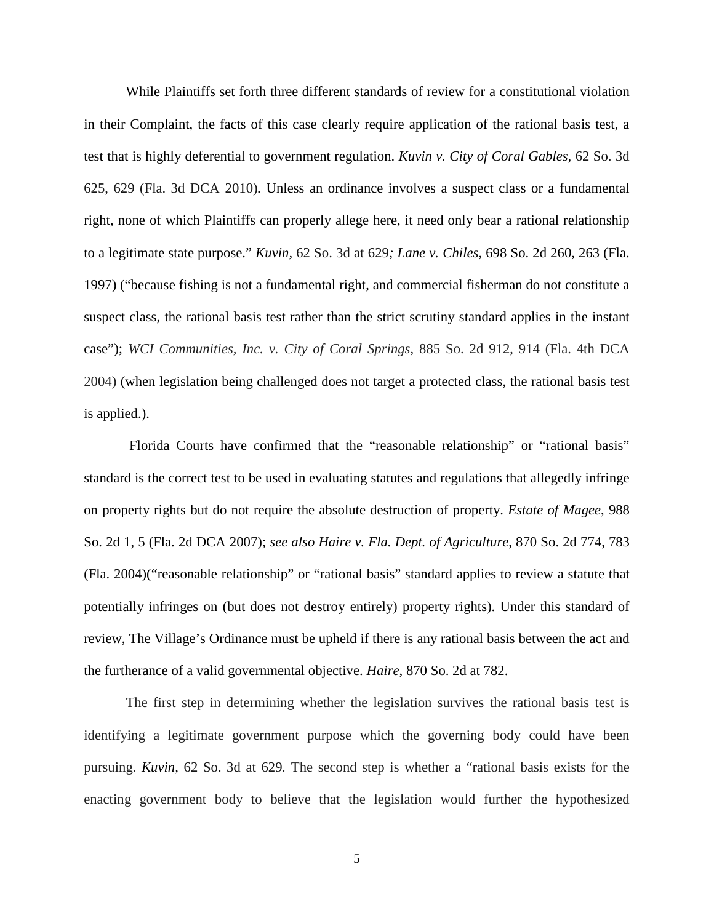While Plaintiffs set forth three different standards of review for a constitutional violation in their Complaint, the facts of this case clearly require application of the rational basis test, a test that is highly deferential to government regulation. *Kuvin v. City of Coral Gables,* 62 So. 3d 625, 629 (Fla. 3d DCA 2010)*.* Unless an ordinance involves a suspect class or a fundamental right, none of which Plaintiffs can properly allege here, it need only bear a rational relationship to a legitimate state purpose." *Kuvin,* 62 So. 3d at 629*; Lane v. Chiles*, 698 So. 2d 260, 263 (Fla. 1997) ("because fishing is not a fundamental right, and commercial fisherman do not constitute a suspect class, the rational basis test rather than the strict scrutiny standard applies in the instant case"); *WCI Communities, Inc. v. City of Coral Springs*, 885 So. 2d 912, 914 (Fla. 4th DCA 2004) (when legislation being challenged does not target a protected class, the rational basis test is applied.).

Florida Courts have confirmed that the "reasonable relationship" or "rational basis" standard is the correct test to be used in evaluating statutes and regulations that allegedly infringe on property rights but do not require the absolute destruction of property. *Estate of Magee*, 988 So. 2d 1, 5 (Fla. 2d DCA 2007); *see also Haire v. Fla. Dept. of Agriculture*, 870 So. 2d 774, 783 (Fla. 2004)("reasonable relationship" or "rational basis" standard applies to review a statute that potentially infringes on (but does not destroy entirely) property rights). Under this standard of review, The Village's Ordinance must be upheld if there is any rational basis between the act and the furtherance of a valid governmental objective. *Haire*, 870 So. 2d at 782.

The first step in determining whether the legislation survives the rational basis test is identifying a legitimate government purpose which the governing body could have been pursuing. *Kuvin,* 62 So. 3d at 629*.* The second step is whether a "rational basis exists for the enacting government body to believe that the legislation would further the hypothesized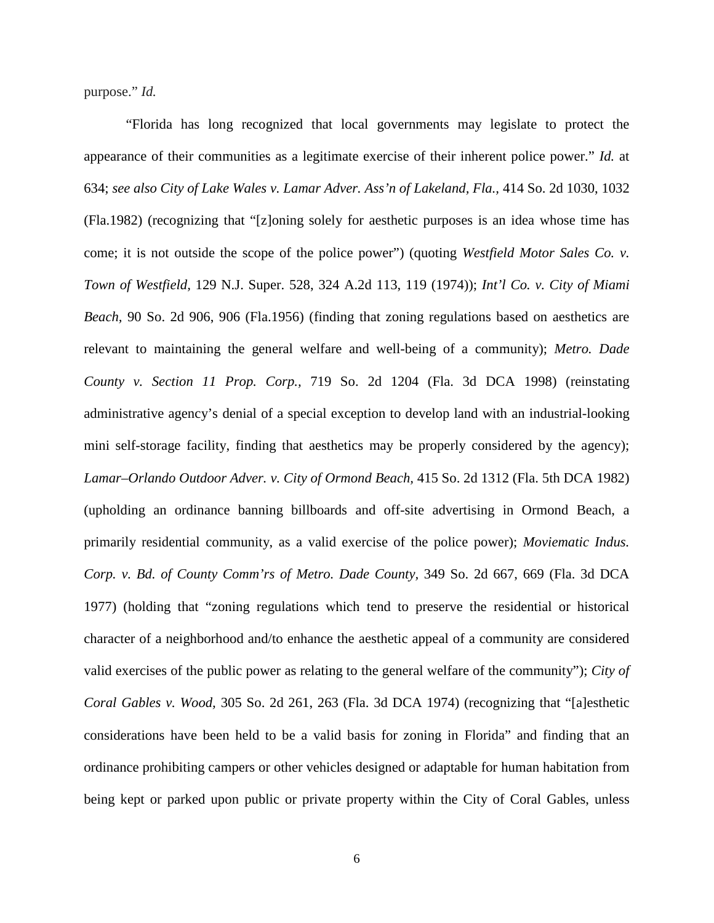purpose." *Id.*

"Florida has long recognized that local governments may legislate to protect the appearance of their communities as a legitimate exercise of their inherent police power." *[Id.](http://www.westlaw.com/Link/Document/FullText?findType=Y&serNum=1982139790&pubNum=735&originationContext=document&vr=3.0&rs=cblt1.0&transitionType=DocumentItem&contextData=(sc.Search)#co_pp_sp_735_1085)* at [634;](http://www.westlaw.com/Link/Document/FullText?findType=Y&serNum=1982139790&pubNum=735&originationContext=document&vr=3.0&rs=cblt1.0&transitionType=DocumentItem&contextData=(sc.Search)#co_pp_sp_735_1085) *see also City of Lake Wales v. Lamar Adver. Ass'n of Lakeland, Fla.,* 414 So. 2d 1030, 1032 (Fla.1982) (recognizing that "[z]oning solely for aesthetic purposes is an idea whose time has come; it is not outside the scope of the police power") (quoting *Westfield Motor Sales Co. v. Town of Westfield,* 129 N.J. Super. 528, 324 A.2d 113, 119 (1974)); *[Int'l Co. v. City of Miami](http://www.westlaw.com/Link/Document/FullText?findType=Y&serNum=1957124786&pubNum=735&originationContext=document&vr=3.0&rs=cblt1.0&transitionType=DocumentItem&contextData=(sc.Search)#co_pp_sp_735_906)  Beach,* 90 So. [2d 906, 906 \(Fla.1956\)](http://www.westlaw.com/Link/Document/FullText?findType=Y&serNum=1957124786&pubNum=735&originationContext=document&vr=3.0&rs=cblt1.0&transitionType=DocumentItem&contextData=(sc.Search)#co_pp_sp_735_906) (finding that zoning regulations based on aesthetics are relevant to maintaining the general welfare and well-being of a community); *Metro. Dade County v. Section 11 Prop. Corp.,* 719 So. 2d 1204 (Fla. 3d DCA 1998) (reinstating administrative agency's denial of a special exception to develop land with an industrial-looking mini self-storage facility, finding that aesthetics may be properly considered by the agency); *Lamar–Orlando Outdoor Adver. v. City of Ormond Beach,* 415 So. 2d 1312 (Fla. 5th DCA 1982) (upholding an ordinance banning billboards and off-site advertising in Ormond Beach, a primarily residential community, as a valid exercise of the police power); *Moviematic Indus. Corp. v. Bd. of County Comm'rs of Metro. Dade County,* 349 So. 2d 667, 669 (Fla. 3d DCA 1977) (holding that "zoning regulations which tend to preserve the residential or historical character of a neighborhood and/to enhance the aesthetic appeal of a community are considered valid exercises of the public power as relating to the general welfare of the community"); *City of Coral Gables v. Wood,* [305 So. 2d 261,](http://www.westlaw.com/Link/Document/FullText?findType=Y&serNum=1974137974&pubNum=735&originationContext=document&vr=3.0&rs=cblt1.0&transitionType=DocumentItem&contextData=(sc.Search)#co_pp_sp_735_263) 263 (Fla. 3d DCA 1974) (recognizing that "[a]esthetic considerations have been held to be a valid basis for zoning in Florida" and finding that an ordinance prohibiting campers or other vehicles designed or adaptable for human habitation from being kept or parked upon public or private property within the City of Coral Gables, unless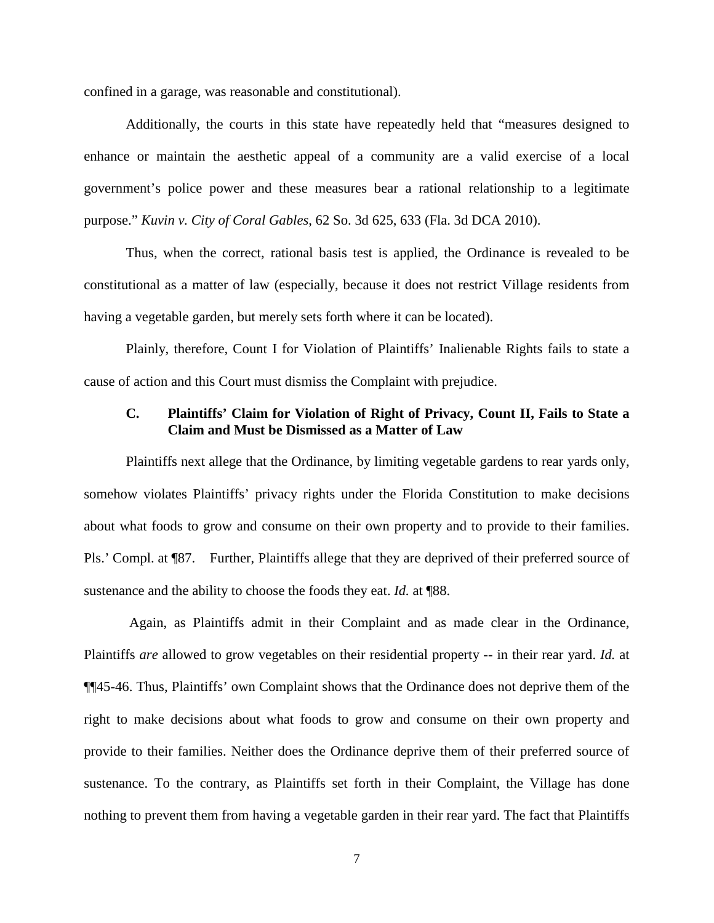confined in a garage, was reasonable and constitutional).

Additionally, the courts in this state have repeatedly held that "measures designed to enhance or maintain the aesthetic appeal of a community are a valid exercise of a local government's police power and these measures bear a rational relationship to a legitimate purpose." *Kuvin v. City of Coral Gables*, 62 So. 3d 625, 633 (Fla. 3d DCA 2010).

Thus, when the correct, rational basis test is applied, the Ordinance is revealed to be constitutional as a matter of law (especially, because it does not restrict Village residents from having a vegetable garden, but merely sets forth where it can be located).

Plainly, therefore, Count I for Violation of Plaintiffs' Inalienable Rights fails to state a cause of action and this Court must dismiss the Complaint with prejudice.

### **C. Plaintiffs' Claim for Violation of Right of Privacy, Count II, Fails to State a Claim and Must be Dismissed as a Matter of Law**

Plaintiffs next allege that the Ordinance, by limiting vegetable gardens to rear yards only, somehow violates Plaintiffs' privacy rights under the Florida Constitution to make decisions about what foods to grow and consume on their own property and to provide to their families. Pls.' Compl. at ¶87. Further, Plaintiffs allege that they are deprived of their preferred source of sustenance and the ability to choose the foods they eat. *Id.* at ¶88.

Again, as Plaintiffs admit in their Complaint and as made clear in the Ordinance, Plaintiffs *are* allowed to grow vegetables on their residential property -- in their rear yard. *Id.* at ¶¶45-46. Thus, Plaintiffs' own Complaint shows that the Ordinance does not deprive them of the right to make decisions about what foods to grow and consume on their own property and provide to their families. Neither does the Ordinance deprive them of their preferred source of sustenance. To the contrary, as Plaintiffs set forth in their Complaint, the Village has done nothing to prevent them from having a vegetable garden in their rear yard. The fact that Plaintiffs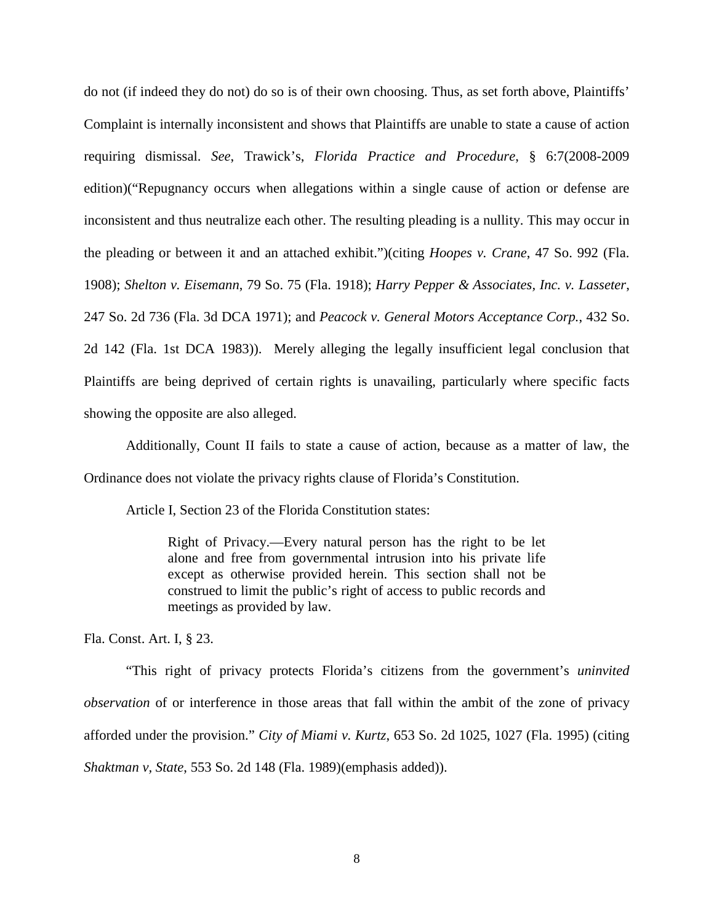do not (if indeed they do not) do so is of their own choosing. Thus, as set forth above, Plaintiffs' Complaint is internally inconsistent and shows that Plaintiffs are unable to state a cause of action requiring dismissal. *See*, Trawick's, *Florida Practice and Procedure*, § 6:7(2008-2009 edition)("Repugnancy occurs when allegations within a single cause of action or defense are inconsistent and thus neutralize each other. The resulting pleading is a nullity. This may occur in the pleading or between it and an attached exhibit.")(citing *Hoopes v. Crane*, 47 So. 992 (Fla. 1908); *Shelton v. Eisemann*, 79 So. 75 (Fla. 1918); *Harry Pepper & Associates, Inc. v. Lasseter*, 247 So. 2d 736 (Fla. 3d DCA 1971); and *Peacock v. General Motors Acceptance Corp.*, 432 So. 2d 142 (Fla. 1st DCA 1983)). Merely alleging the legally insufficient legal conclusion that Plaintiffs are being deprived of certain rights is unavailing, particularly where specific facts showing the opposite are also alleged.

Additionally, Count II fails to state a cause of action, because as a matter of law, the Ordinance does not violate the privacy rights clause of Florida's Constitution.

Article I, Section 23 of the Florida Constitution states:

Right of Privacy.—Every natural person has the right to be let alone and free from governmental intrusion into his private life except as otherwise provided herein. This section shall not be construed to limit the public's right of access to public records and meetings as provided by law.

Fla. Const. Art. I, § 23.

"This right of privacy protects Florida's citizens from the government's *uninvited observation* of or interference in those areas that fall within the ambit of the zone of privacy afforded under the provision." *City of Miami v. Kurtz*, 653 So. 2d 1025, 1027 (Fla. 1995) (citing *Shaktman v, State*, 553 So. 2d 148 (Fla. 1989)(emphasis added)).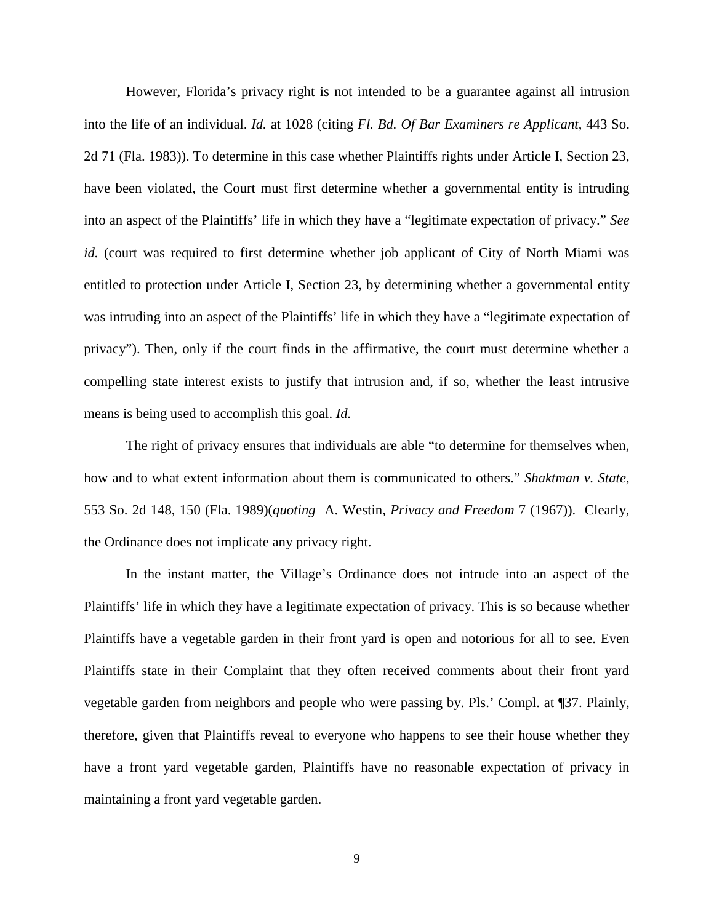However, Florida's privacy right is not intended to be a guarantee against all intrusion into the life of an individual. *Id.* at 1028 (citing *Fl. Bd. Of Bar Examiners re Applicant*, 443 So. 2d 71 (Fla. 1983)). To determine in this case whether Plaintiffs rights under Article I, Section 23, have been violated, the Court must first determine whether a governmental entity is intruding into an aspect of the Plaintiffs' life in which they have a "legitimate expectation of privacy." *See id.* (court was required to first determine whether job applicant of City of North Miami was entitled to protection under Article I, Section 23, by determining whether a governmental entity was intruding into an aspect of the Plaintiffs' life in which they have a "legitimate expectation of privacy"). Then, only if the court finds in the affirmative, the court must determine whether a compelling state interest exists to justify that intrusion and, if so, whether the least intrusive means is being used to accomplish this goal. *Id.*

The right of privacy ensures that individuals are able "to determine for themselves when, how and to what extent information about them is communicated to others." *Shaktman v. State*, 553 So. 2d 148, 150 (Fla. 1989)(*quoting* A. Westin, *Privacy and Freedom* 7 (1967)). Clearly, the Ordinance does not implicate any privacy right.

In the instant matter, the Village's Ordinance does not intrude into an aspect of the Plaintiffs' life in which they have a legitimate expectation of privacy. This is so because whether Plaintiffs have a vegetable garden in their front yard is open and notorious for all to see. Even Plaintiffs state in their Complaint that they often received comments about their front yard vegetable garden from neighbors and people who were passing by. Pls.' Compl. at ¶37. Plainly, therefore, given that Plaintiffs reveal to everyone who happens to see their house whether they have a front yard vegetable garden, Plaintiffs have no reasonable expectation of privacy in maintaining a front yard vegetable garden.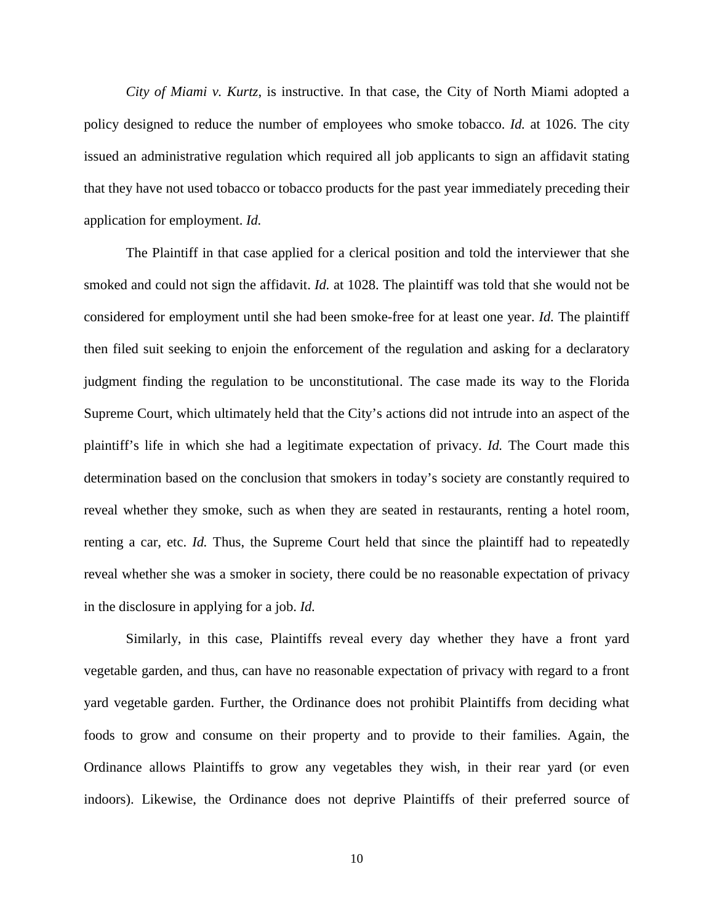*City of Miami v. Kurtz*, is instructive. In that case, the City of North Miami adopted a policy designed to reduce the number of employees who smoke tobacco. *Id.* at 1026. The city issued an administrative regulation which required all job applicants to sign an affidavit stating that they have not used tobacco or tobacco products for the past year immediately preceding their application for employment. *Id.*

The Plaintiff in that case applied for a clerical position and told the interviewer that she smoked and could not sign the affidavit. *Id.* at 1028. The plaintiff was told that she would not be considered for employment until she had been smoke-free for at least one year. *Id.* The plaintiff then filed suit seeking to enjoin the enforcement of the regulation and asking for a declaratory judgment finding the regulation to be unconstitutional. The case made its way to the Florida Supreme Court, which ultimately held that the City's actions did not intrude into an aspect of the plaintiff's life in which she had a legitimate expectation of privacy. *Id.* The Court made this determination based on the conclusion that smokers in today's society are constantly required to reveal whether they smoke, such as when they are seated in restaurants, renting a hotel room, renting a car, etc. *Id.* Thus, the Supreme Court held that since the plaintiff had to repeatedly reveal whether she was a smoker in society, there could be no reasonable expectation of privacy in the disclosure in applying for a job. *Id.*

Similarly, in this case, Plaintiffs reveal every day whether they have a front yard vegetable garden, and thus, can have no reasonable expectation of privacy with regard to a front yard vegetable garden. Further, the Ordinance does not prohibit Plaintiffs from deciding what foods to grow and consume on their property and to provide to their families. Again, the Ordinance allows Plaintiffs to grow any vegetables they wish, in their rear yard (or even indoors). Likewise, the Ordinance does not deprive Plaintiffs of their preferred source of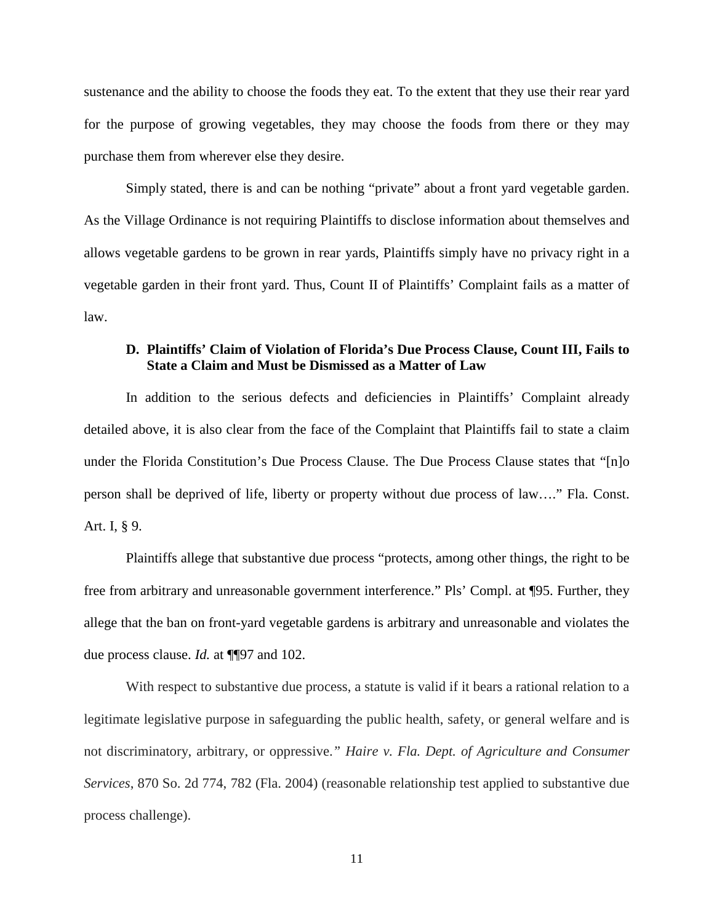sustenance and the ability to choose the foods they eat. To the extent that they use their rear yard for the purpose of growing vegetables, they may choose the foods from there or they may purchase them from wherever else they desire.

Simply stated, there is and can be nothing "private" about a front yard vegetable garden. As the Village Ordinance is not requiring Plaintiffs to disclose information about themselves and allows vegetable gardens to be grown in rear yards, Plaintiffs simply have no privacy right in a vegetable garden in their front yard. Thus, Count II of Plaintiffs' Complaint fails as a matter of law.

### **D. Plaintiffs' Claim of Violation of Florida's Due Process Clause, Count III, Fails to State a Claim and Must be Dismissed as a Matter of Law**

In addition to the serious defects and deficiencies in Plaintiffs' Complaint already detailed above, it is also clear from the face of the Complaint that Plaintiffs fail to state a claim under the Florida Constitution's Due Process Clause. The Due Process Clause states that "[n]o person shall be deprived of life, liberty or property without due process of law…." Fla. Const. Art. I, § 9.

Plaintiffs allege that substantive due process "protects, among other things, the right to be free from arbitrary and unreasonable government interference." Pls' Compl. at ¶95. Further, they allege that the ban on front-yard vegetable gardens is arbitrary and unreasonable and violates the due process clause. *Id.* at ¶¶97 and 102.

With respect to substantive due process, a statute is valid if it bears a rational relation to a legitimate legislative purpose in safeguarding the public health, safety, or general welfare and is not discriminatory, arbitrary, or oppressive.*" Haire v. Fla. Dept. of Agriculture and Consumer Services*, 870 So. 2d 774, 782 (Fla. 2004) (reasonable relationship test applied to substantive due process challenge).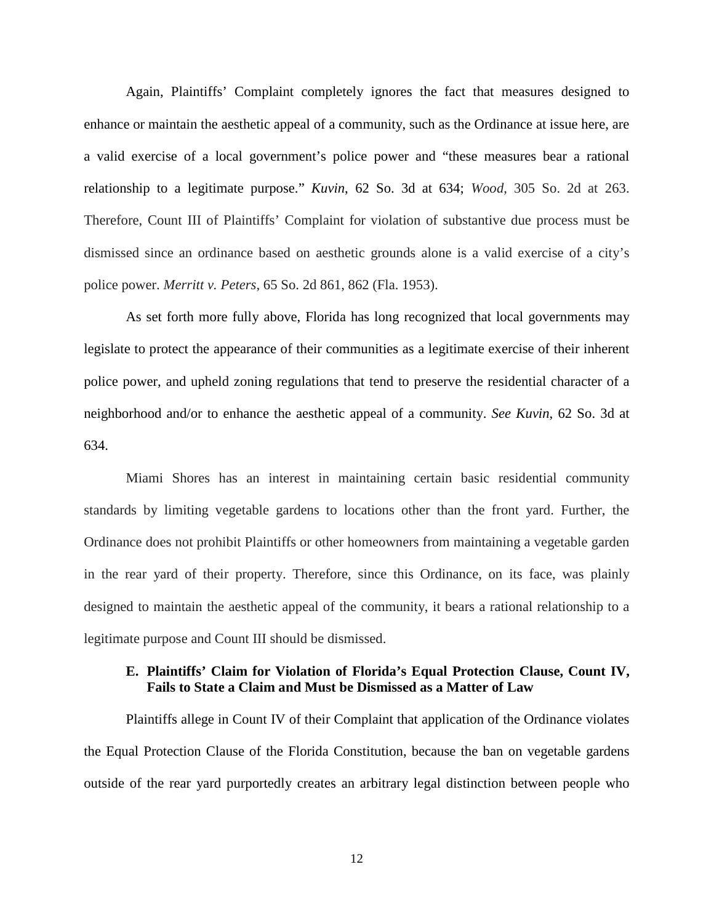Again, Plaintiffs' Complaint completely ignores the fact that measures designed to enhance or maintain the aesthetic appeal of a community, such as the Ordinance at issue here, are a valid exercise of a local government's police power and "these measures bear a rational relationship to a legitimate purpose." *Kuvin*, 62 So. 3d at 634; *Wood*, 305 So. 2d at 263. Therefore, Count III of Plaintiffs' Complaint for violation of substantive due process must be dismissed since an ordinance based on aesthetic grounds alone is a valid exercise of a city's police power. *Merritt v. Peters*, 65 So. 2d 861, 862 (Fla. 1953).

As set forth more fully above, Florida has long recognized that local governments may legislate to protect the appearance of their communities as a legitimate exercise of their inherent police power, and upheld zoning regulations that tend to preserve the residential character of a neighborhood and/or to enhance the aesthetic appeal of a community. *See Kuvin*[, 62 So.](http://www.westlaw.com/Link/Document/FullText?findType=Y&serNum=1982139790&pubNum=735&originationContext=document&vr=3.0&rs=cblt1.0&transitionType=DocumentItem&contextData=(sc.Search)#co_pp_sp_735_1085) 3d at [634.](http://www.westlaw.com/Link/Document/FullText?findType=Y&serNum=1982139790&pubNum=735&originationContext=document&vr=3.0&rs=cblt1.0&transitionType=DocumentItem&contextData=(sc.Search)#co_pp_sp_735_1085)

Miami Shores has an interest in maintaining certain basic residential community standards by limiting vegetable gardens to locations other than the front yard. Further, the Ordinance does not prohibit Plaintiffs or other homeowners from maintaining a vegetable garden in the rear yard of their property. Therefore, since this Ordinance, on its face, was plainly designed to maintain the aesthetic appeal of the community, it bears a rational relationship to a legitimate purpose and Count III should be dismissed.

## **E. Plaintiffs' Claim for Violation of Florida's Equal Protection Clause, Count IV, Fails to State a Claim and Must be Dismissed as a Matter of Law**

Plaintiffs allege in Count IV of their Complaint that application of the Ordinance violates the Equal Protection Clause of the Florida Constitution, because the ban on vegetable gardens outside of the rear yard purportedly creates an arbitrary legal distinction between people who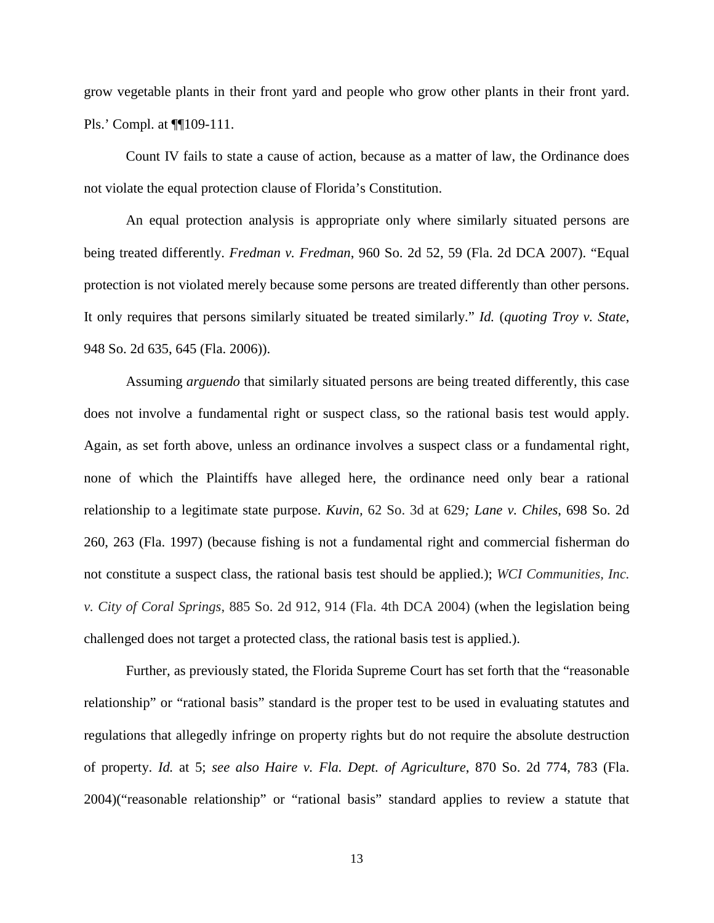grow vegetable plants in their front yard and people who grow other plants in their front yard. Pls.' Compl. at ¶¶109-111.

Count IV fails to state a cause of action, because as a matter of law, the Ordinance does not violate the equal protection clause of Florida's Constitution.

An equal protection analysis is appropriate only where similarly situated persons are being treated differently. *Fredman v. Fredman*, 960 So. 2d 52, 59 (Fla. 2d DCA 2007). "Equal protection is not violated merely because some persons are treated differently than other persons. It only requires that persons similarly situated be treated similarly." *Id.* (*quoting Troy v. State*, 948 So. 2d 635, 645 (Fla. 2006)).

Assuming *arguendo* that similarly situated persons are being treated differently, this case does not involve a fundamental right or suspect class, so the rational basis test would apply. Again, as set forth above, unless an ordinance involves a suspect class or a fundamental right, none of which the Plaintiffs have alleged here, the ordinance need only bear a rational relationship to a legitimate state purpose. *Kuvin,* 62 So. 3d at 629*; Lane v. Chiles*, 698 So. 2d 260, 263 (Fla. 1997) (because fishing is not a fundamental right and commercial fisherman do not constitute a suspect class, the rational basis test should be applied.); *WCI Communities, Inc. v. City of Coral Springs*, 885 So. 2d 912, 914 (Fla. 4th DCA 2004) (when the legislation being challenged does not target a protected class, the rational basis test is applied.).

Further, as previously stated, the Florida Supreme Court has set forth that the "reasonable relationship" or "rational basis" standard is the proper test to be used in evaluating statutes and regulations that allegedly infringe on property rights but do not require the absolute destruction of property. *Id.* at 5; *see also Haire v. Fla. Dept. of Agriculture*, 870 So. 2d 774, 783 (Fla. 2004)("reasonable relationship" or "rational basis" standard applies to review a statute that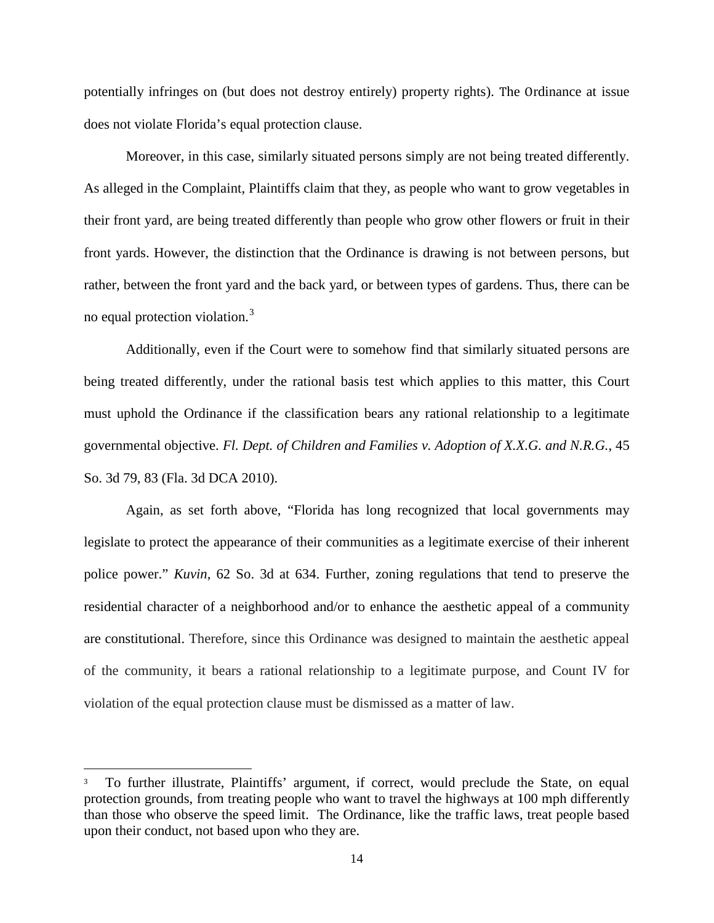potentially infringes on (but does not destroy entirely) property rights). The Ordinance at issue does not violate Florida's equal protection clause.

Moreover, in this case, similarly situated persons simply are not being treated differently. As alleged in the Complaint, Plaintiffs claim that they, as people who want to grow vegetables in their front yard, are being treated differently than people who grow other flowers or fruit in their front yards. However, the distinction that the Ordinance is drawing is not between persons, but rather, between the front yard and the back yard, or between types of gardens. Thus, there can be no equal protection violation.[3](#page-13-0)

Additionally, even if the Court were to somehow find that similarly situated persons are being treated differently, under the rational basis test which applies to this matter, this Court must uphold the Ordinance if the classification bears any rational relationship to a legitimate governmental objective. *Fl. Dept. of Children and Families v. Adoption of X.X.G. and N.R.G.*, 45 So. 3d 79, 83 (Fla. 3d DCA 2010).

Again, as set forth above, "Florida has long recognized that local governments may legislate to protect the appearance of their communities as a legitimate exercise of their inherent police power." *Kuvin*, 62 So. [3d at 634.](http://www.westlaw.com/Link/Document/FullText?findType=Y&serNum=1982139790&pubNum=735&originationContext=document&vr=3.0&rs=cblt1.0&transitionType=DocumentItem&contextData=(sc.Search)#co_pp_sp_735_1085) Further, zoning regulations that tend to preserve the residential character of a neighborhood and/or to enhance the aesthetic appeal of a community are constitutional. Therefore, since this Ordinance was designed to maintain the aesthetic appeal of the community, it bears a rational relationship to a legitimate purpose, and Count IV for violation of the equal protection clause must be dismissed as a matter of law.

<span id="page-13-0"></span> <sup>3</sup> To further illustrate, Plaintiffs' argument, if correct, would preclude the State, on equal protection grounds, from treating people who want to travel the highways at 100 mph differently than those who observe the speed limit. The Ordinance, like the traffic laws, treat people based upon their conduct, not based upon who they are.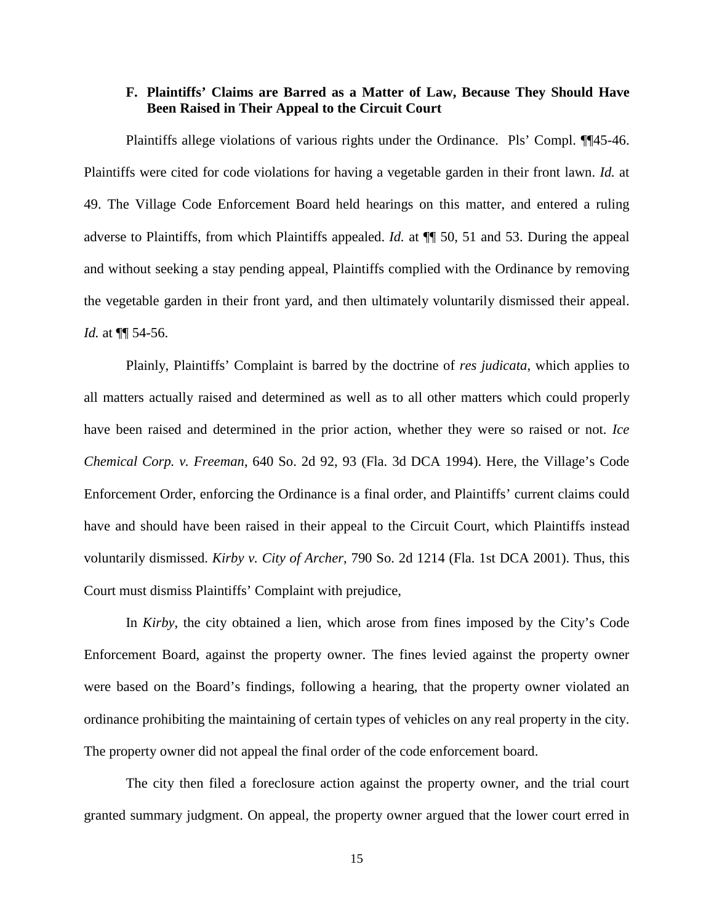### **F. Plaintiffs' Claims are Barred as a Matter of Law, Because They Should Have Been Raised in Their Appeal to the Circuit Court**

Plaintiffs allege violations of various rights under the Ordinance. Pls' Compl. ¶¶45-46. Plaintiffs were cited for code violations for having a vegetable garden in their front lawn. *Id.* at 49. The Village Code Enforcement Board held hearings on this matter, and entered a ruling adverse to Plaintiffs, from which Plaintiffs appealed. *Id.* at ¶¶ 50, 51 and 53. During the appeal and without seeking a stay pending appeal, Plaintiffs complied with the Ordinance by removing the vegetable garden in their front yard, and then ultimately voluntarily dismissed their appeal. *Id.* at ¶¶ 54-56.

Plainly, Plaintiffs' Complaint is barred by the doctrine of *res judicata*, which applies to all matters actually raised and determined as well as to all other matters which could properly have been raised and determined in the prior action, whether they were so raised or not. *Ice Chemical Corp. v. Freeman*, 640 So. 2d 92, 93 (Fla. 3d DCA 1994). Here, the Village's Code Enforcement Order, enforcing the Ordinance is a final order, and Plaintiffs' current claims could have and should have been raised in their appeal to the Circuit Court, which Plaintiffs instead voluntarily dismissed. *Kirby v. City of Archer*, 790 So. 2d 1214 (Fla. 1st DCA 2001). Thus, this Court must dismiss Plaintiffs' Complaint with prejudice,

In *Kirby*, the city obtained a lien, which arose from fines imposed by the City's Code Enforcement Board, against the property owner. The fines levied against the property owner were based on the Board's findings, following a hearing, that the property owner violated an ordinance prohibiting the maintaining of certain types of vehicles on any real property in the city. The property owner did not appeal the final order of the code enforcement board.

The city then filed a foreclosure action against the property owner, and the trial court granted summary judgment. On appeal, the property owner argued that the lower court erred in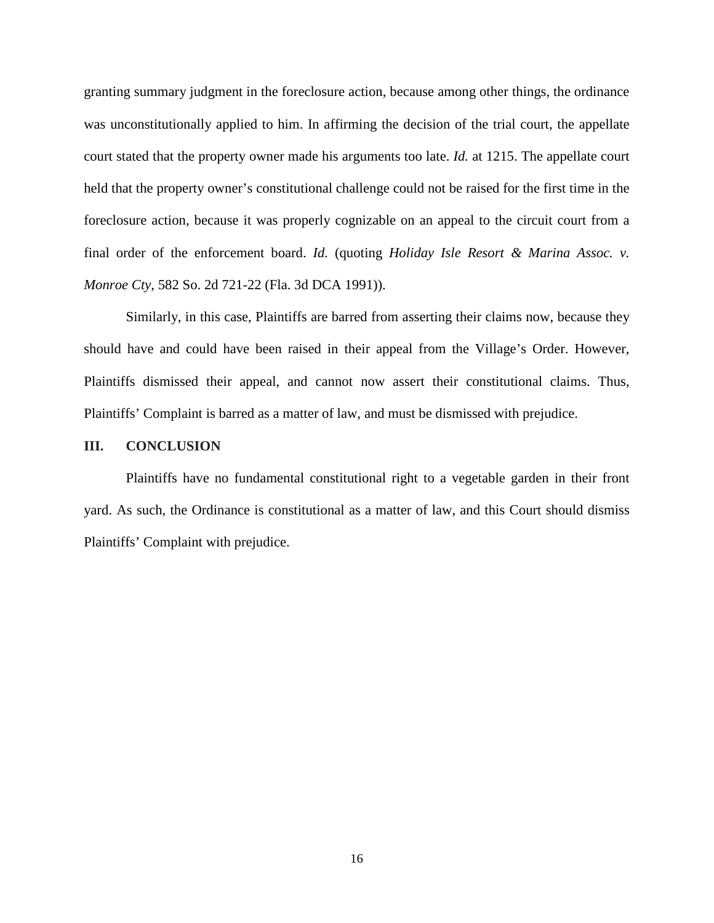granting summary judgment in the foreclosure action, because among other things, the ordinance was unconstitutionally applied to him. In affirming the decision of the trial court, the appellate court stated that the property owner made his arguments too late. *Id.* at 1215. The appellate court held that the property owner's constitutional challenge could not be raised for the first time in the foreclosure action, because it was properly cognizable on an appeal to the circuit court from a final order of the enforcement board. *Id.* (quoting *Holiday Isle Resort & Marina Assoc. v. Monroe Cty*, 582 So. 2d 721-22 (Fla. 3d DCA 1991)).

Similarly, in this case, Plaintiffs are barred from asserting their claims now, because they should have and could have been raised in their appeal from the Village's Order. However, Plaintiffs dismissed their appeal, and cannot now assert their constitutional claims. Thus, Plaintiffs' Complaint is barred as a matter of law, and must be dismissed with prejudice.

#### **III. CONCLUSION**

Plaintiffs have no fundamental constitutional right to a vegetable garden in their front yard. As such, the Ordinance is constitutional as a matter of law, and this Court should dismiss Plaintiffs' Complaint with prejudice.